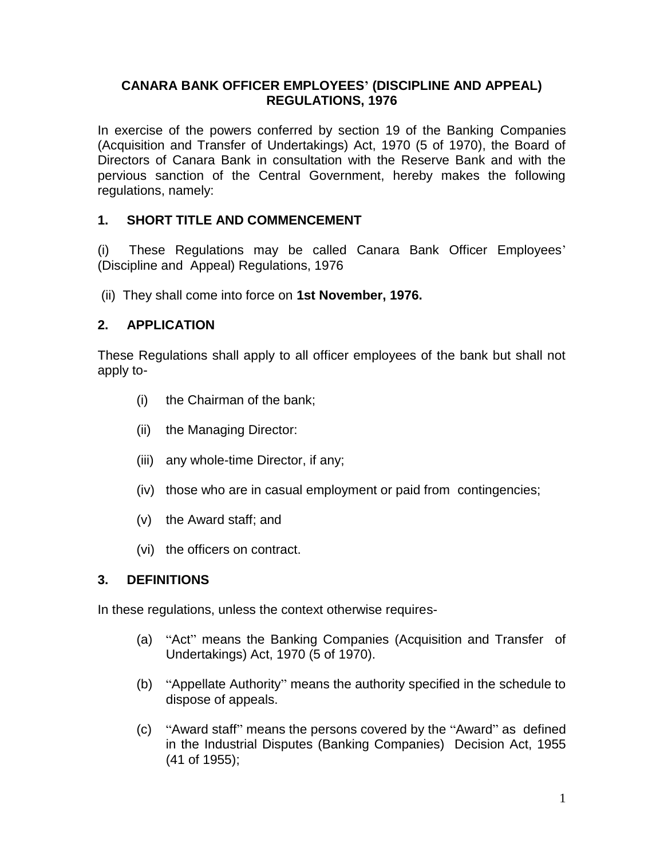### **CANARA BANK OFFICER EMPLOYEES' (DISCIPLINE AND APPEAL) REGULATIONS, 1976**

In exercise of the powers conferred by section 19 of the Banking Companies (Acquisition and Transfer of Undertakings) Act, 1970 (5 of 1970), the Board of Directors of Canara Bank in consultation with the Reserve Bank and with the pervious sanction of the Central Government, hereby makes the following regulations, namely:

# **1. SHORT TITLE AND COMMENCEMENT**

(i) These Regulations may be called Canara Bank Officer Employees' (Discipline and Appeal) Regulations, 1976

(ii) They shall come into force on **1st November, 1976.**

# **2. APPLICATION**

These Regulations shall apply to all officer employees of the bank but shall not apply to-

- (i) the Chairman of the bank;
- (ii) the Managing Director:
- (iii) any whole-time Director, if any;
- (iv) those who are in casual employment or paid from contingencies;
- (v) the Award staff; and
- (vi) the officers on contract.

## **3. DEFINITIONS**

In these regulations, unless the context otherwise requires-

- (a) "Act" means the Banking Companies (Acquisition and Transfer of Undertakings) Act, 1970 (5 of 1970).
- (b) "Appellate Authority" means the authority specified in the schedule to dispose of appeals.
- (c) "Award staff" means the persons covered by the "Award" as defined in the Industrial Disputes (Banking Companies) Decision Act, 1955 (41 of 1955);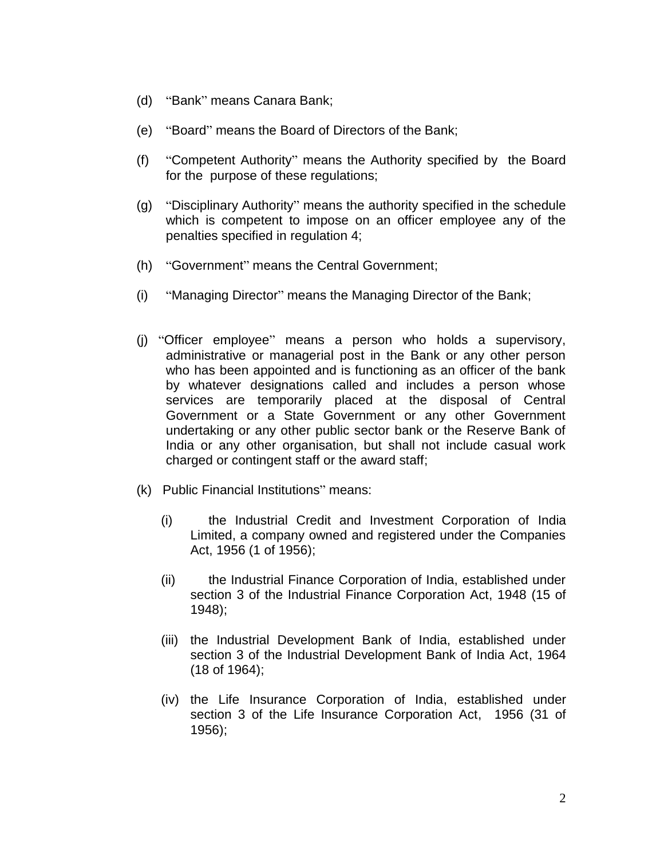- (d) "Bank" means Canara Bank;
- (e) "Board" means the Board of Directors of the Bank;
- (f) "Competent Authority" means the Authority specified by the Board for the purpose of these regulations;
- (g) "Disciplinary Authority" means the authority specified in the schedule which is competent to impose on an officer employee any of the penalties specified in regulation 4;
- (h) "Government" means the Central Government;
- (i) "Managing Director" means the Managing Director of the Bank;
- (j) "Officer employee" means a person who holds a supervisory, administrative or managerial post in the Bank or any other person who has been appointed and is functioning as an officer of the bank by whatever designations called and includes a person whose services are temporarily placed at the disposal of Central Government or a State Government or any other Government undertaking or any other public sector bank or the Reserve Bank of India or any other organisation, but shall not include casual work charged or contingent staff or the award staff;
- (k) Public Financial Institutions" means:
	- (i) the Industrial Credit and Investment Corporation of India Limited, a company owned and registered under the Companies Act, 1956 (1 of 1956);
	- (ii) the Industrial Finance Corporation of India, established under section 3 of the Industrial Finance Corporation Act, 1948 (15 of 1948);
	- (iii) the Industrial Development Bank of India, established under section 3 of the Industrial Development Bank of India Act, 1964 (18 of 1964);
	- (iv) the Life Insurance Corporation of India, established under section 3 of the Life Insurance Corporation Act, 1956 (31 of 1956);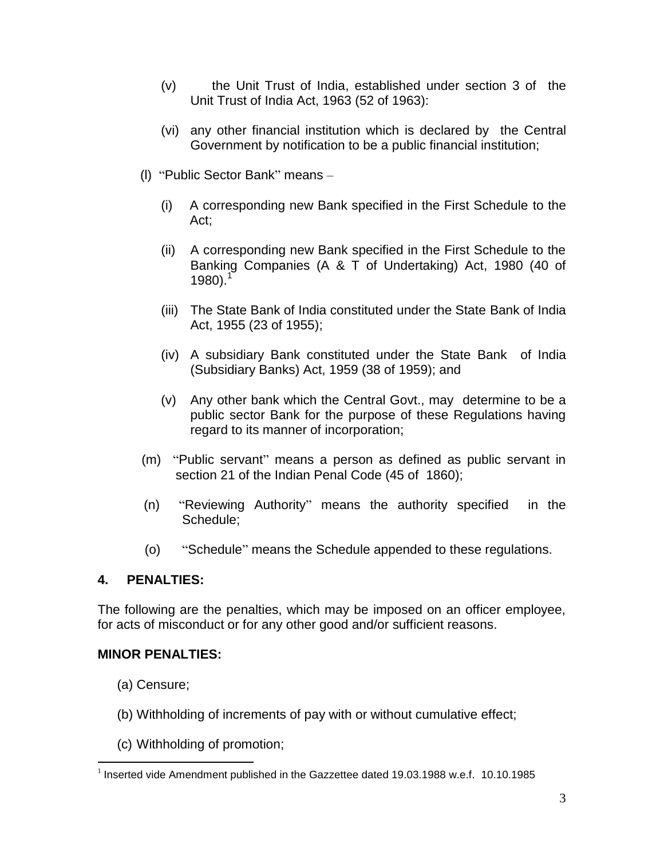- (v) the Unit Trust of India, established under section 3 of the Unit Trust of India Act, 1963 (52 of 1963):
- (vi) any other financial institution which is declared by the Central Government by notification to be a public financial institution;
- (l) "Public Sector Bank" means
	- (i) A corresponding new Bank specified in the First Schedule to the Act;
	- (ii) A corresponding new Bank specified in the First Schedule to the Banking Companies (A & T of Undertaking) Act, 1980 (40 of  $1980$ ).<sup>1</sup>
	- (iii) The State Bank of India constituted under the State Bank of India Act, 1955 (23 of 1955);
	- (iv) A subsidiary Bank constituted under the State Bank of India (Subsidiary Banks) Act, 1959 (38 of 1959); and
	- (v) Any other bank which the Central Govt., may determine to be a public sector Bank for the purpose of these Regulations having regard to its manner of incorporation;
- (m) "Public servant" means a person as defined as public servant in section 21 of the Indian Penal Code (45 of 1860);
- (n) "Reviewing Authority" means the authority specified in the Schedule;
- (o) "Schedule" means the Schedule appended to these regulations.

## **4. PENALTIES:**

The following are the penalties, which may be imposed on an officer employee, for acts of misconduct or for any other good and/or sufficient reasons.

#### **MINOR PENALTIES:**

(a) Censure;

- (b) Withholding of increments of pay with or without cumulative effect;
- (c) Withholding of promotion;

 $1$  Inserted vide Amendment published in the Gazzettee dated 19.03.1988 w.e.f. 10.10.1985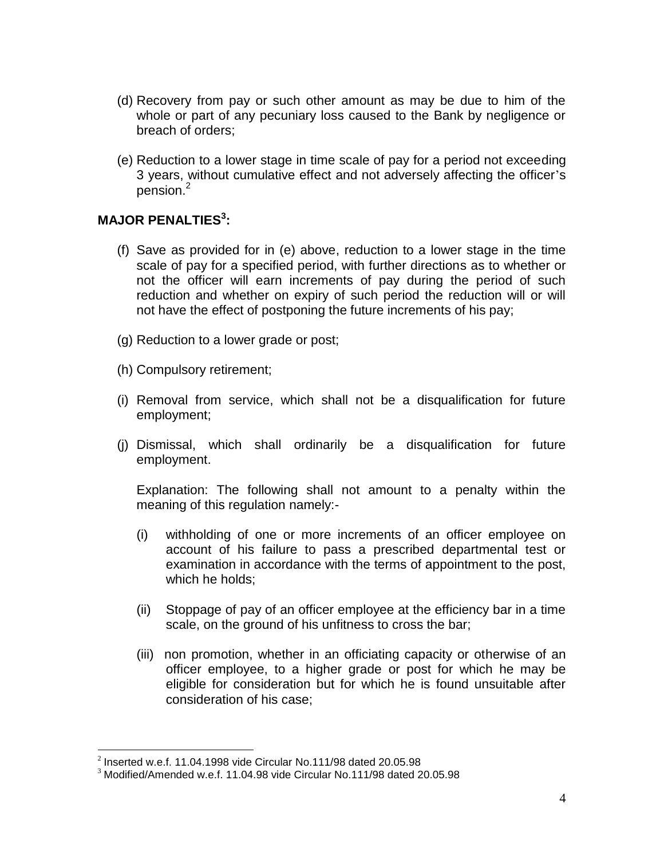- (d) Recovery from pay or such other amount as may be due to him of the whole or part of any pecuniary loss caused to the Bank by negligence or breach of orders;
- (e) Reduction to a lower stage in time scale of pay for a period not exceeding 3 years, without cumulative effect and not adversely affecting the officer's pension.<sup>2</sup>

### **MAJOR PENALTIES<sup>3</sup> :**

- (f) Save as provided for in (e) above, reduction to a lower stage in the time scale of pay for a specified period, with further directions as to whether or not the officer will earn increments of pay during the period of such reduction and whether on expiry of such period the reduction will or will not have the effect of postponing the future increments of his pay;
- (g) Reduction to a lower grade or post;
- (h) Compulsory retirement;
- (i) Removal from service, which shall not be a disqualification for future employment;
- (j) Dismissal, which shall ordinarily be a disqualification for future employment.

Explanation: The following shall not amount to a penalty within the meaning of this regulation namely:-

- (i) withholding of one or more increments of an officer employee on account of his failure to pass a prescribed departmental test or examination in accordance with the terms of appointment to the post, which he holds;
- (ii) Stoppage of pay of an officer employee at the efficiency bar in a time scale, on the ground of his unfitness to cross the bar;
- (iii) non promotion, whether in an officiating capacity or otherwise of an officer employee, to a higher grade or post for which he may be eligible for consideration but for which he is found unsuitable after consideration of his case;

<sup>&</sup>lt;sup>2</sup> Inserted w.e.f. 11.04.1998 vide Circular No.111/98 dated 20.05.98

 $3$  Modified/Amended w.e.f. 11.04.98 vide Circular No.111/98 dated 20.05.98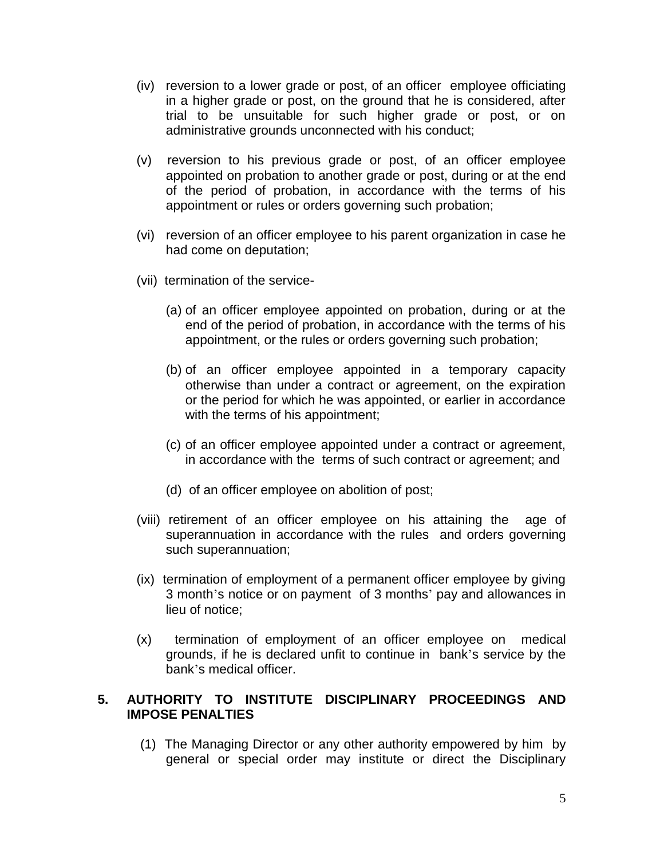- (iv) reversion to a lower grade or post, of an officer employee officiating in a higher grade or post, on the ground that he is considered, after trial to be unsuitable for such higher grade or post, or on administrative grounds unconnected with his conduct;
- (v) reversion to his previous grade or post, of an officer employee appointed on probation to another grade or post, during or at the end of the period of probation, in accordance with the terms of his appointment or rules or orders governing such probation;
- (vi) reversion of an officer employee to his parent organization in case he had come on deputation;
- (vii) termination of the service-
	- (a) of an officer employee appointed on probation, during or at the end of the period of probation, in accordance with the terms of his appointment, or the rules or orders governing such probation;
	- (b) of an officer employee appointed in a temporary capacity otherwise than under a contract or agreement, on the expiration or the period for which he was appointed, or earlier in accordance with the terms of his appointment;
	- (c) of an officer employee appointed under a contract or agreement, in accordance with the terms of such contract or agreement; and
	- (d) of an officer employee on abolition of post;
- (viii) retirement of an officer employee on his attaining the age of superannuation in accordance with the rules and orders governing such superannuation;
- (ix) termination of employment of a permanent officer employee by giving 3 month's notice or on payment of 3 months' pay and allowances in lieu of notice;
- (x) termination of employment of an officer employee on medical grounds, if he is declared unfit to continue in bank's service by the bank's medical officer.

## **5. AUTHORITY TO INSTITUTE DISCIPLINARY PROCEEDINGS AND IMPOSE PENALTIES**

(1) The Managing Director or any other authority empowered by him by general or special order may institute or direct the Disciplinary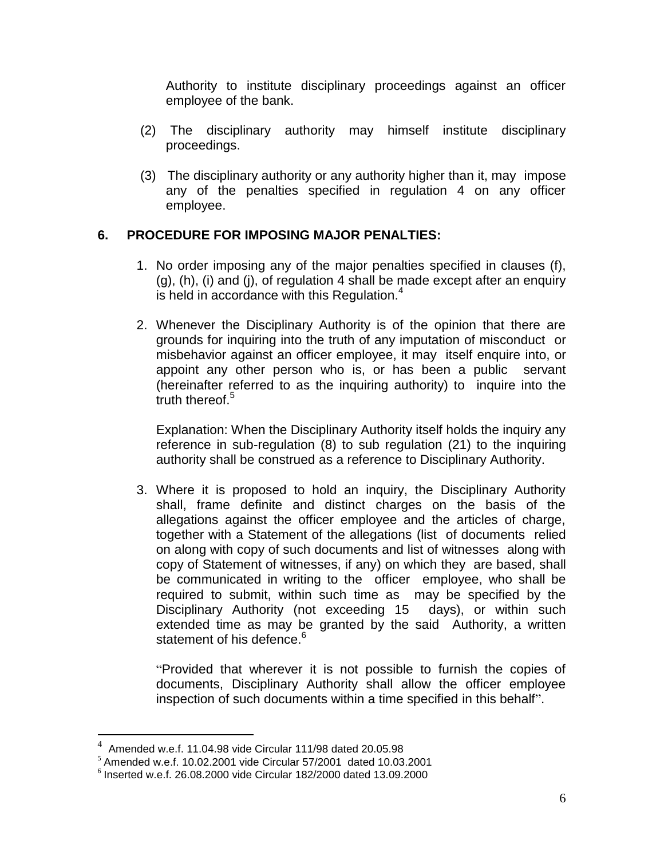Authority to institute disciplinary proceedings against an officer employee of the bank.

- (2) The disciplinary authority may himself institute disciplinary proceedings.
- (3) The disciplinary authority or any authority higher than it, may impose any of the penalties specified in regulation 4 on any officer employee.

## **6. PROCEDURE FOR IMPOSING MAJOR PENALTIES:**

- 1. No order imposing any of the major penalties specified in clauses (f), (g), (h), (i) and (j), of regulation 4 shall be made except after an enquiry is held in accordance with this Regulation. $4$
- 2. Whenever the Disciplinary Authority is of the opinion that there are grounds for inquiring into the truth of any imputation of misconduct or misbehavior against an officer employee, it may itself enquire into, or appoint any other person who is, or has been a public servant (hereinafter referred to as the inquiring authority) to inquire into the truth thereof.<sup>5</sup>

Explanation: When the Disciplinary Authority itself holds the inquiry any reference in sub-regulation (8) to sub regulation (21) to the inquiring authority shall be construed as a reference to Disciplinary Authority.

3. Where it is proposed to hold an inquiry, the Disciplinary Authority shall, frame definite and distinct charges on the basis of the allegations against the officer employee and the articles of charge, together with a Statement of the allegations (list of documents relied on along with copy of such documents and list of witnesses along with copy of Statement of witnesses, if any) on which they are based, shall be communicated in writing to the officer employee, who shall be required to submit, within such time as may be specified by the Disciplinary Authority (not exceeding 15 days), or within such extended time as may be granted by the said Authority, a written statement of his defence.<sup>6</sup>

"Provided that wherever it is not possible to furnish the copies of documents, Disciplinary Authority shall allow the officer employee inspection of such documents within a time specified in this behalf".

 4 Amended w.e.f. 11.04.98 vide Circular 111/98 dated 20.05.98

 $5$  Amended w.e.f. 10.02.2001 vide Circular 57/2001 dated 10.03.2001

<sup>6</sup> Inserted w.e.f. 26.08.2000 vide Circular 182/2000 dated 13.09.2000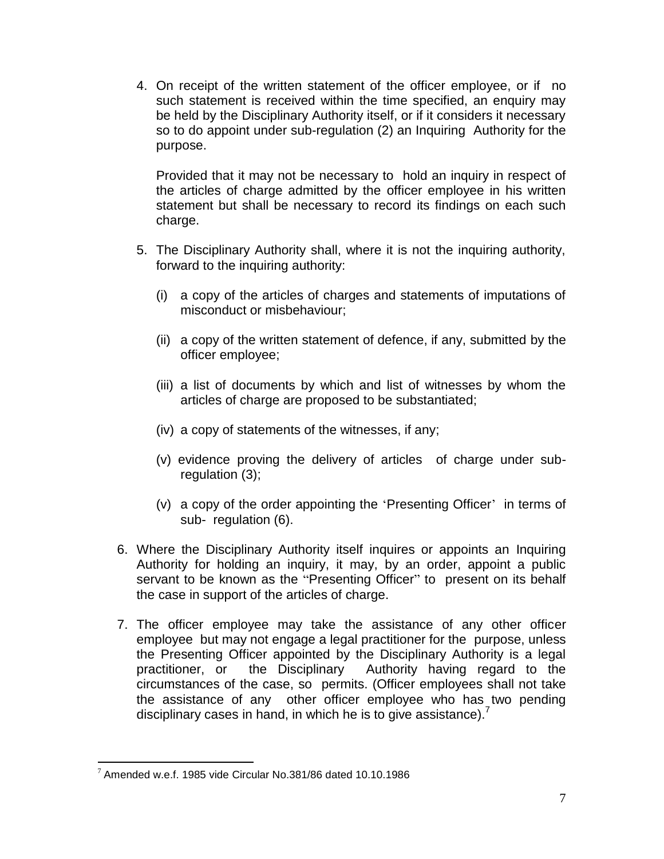4. On receipt of the written statement of the officer employee, or if no such statement is received within the time specified, an enquiry may be held by the Disciplinary Authority itself, or if it considers it necessary so to do appoint under sub-regulation (2) an Inquiring Authority for the purpose.

Provided that it may not be necessary to hold an inquiry in respect of the articles of charge admitted by the officer employee in his written statement but shall be necessary to record its findings on each such charge.

- 5. The Disciplinary Authority shall, where it is not the inquiring authority, forward to the inquiring authority:
	- (i) a copy of the articles of charges and statements of imputations of misconduct or misbehaviour;
	- (ii) a copy of the written statement of defence, if any, submitted by the officer employee;
	- (iii) a list of documents by which and list of witnesses by whom the articles of charge are proposed to be substantiated;
	- (iv) a copy of statements of the witnesses, if any;
	- (v) evidence proving the delivery of articles of charge under subregulation (3);
	- (v) a copy of the order appointing the 'Presenting Officer' in terms of sub- regulation (6).
- 6. Where the Disciplinary Authority itself inquires or appoints an Inquiring Authority for holding an inquiry, it may, by an order, appoint a public servant to be known as the "Presenting Officer" to present on its behalf the case in support of the articles of charge.
- 7. The officer employee may take the assistance of any other officer employee but may not engage a legal practitioner for the purpose, unless the Presenting Officer appointed by the Disciplinary Authority is a legal practitioner, or the Disciplinary Authority having regard to the circumstances of the case, so permits. (Officer employees shall not take the assistance of any other officer employee who has two pending disciplinary cases in hand, in which he is to give assistance).<sup>7</sup>

 $\overline{a}$  $7$  Amended w.e.f. 1985 vide Circular No.381/86 dated 10.10.1986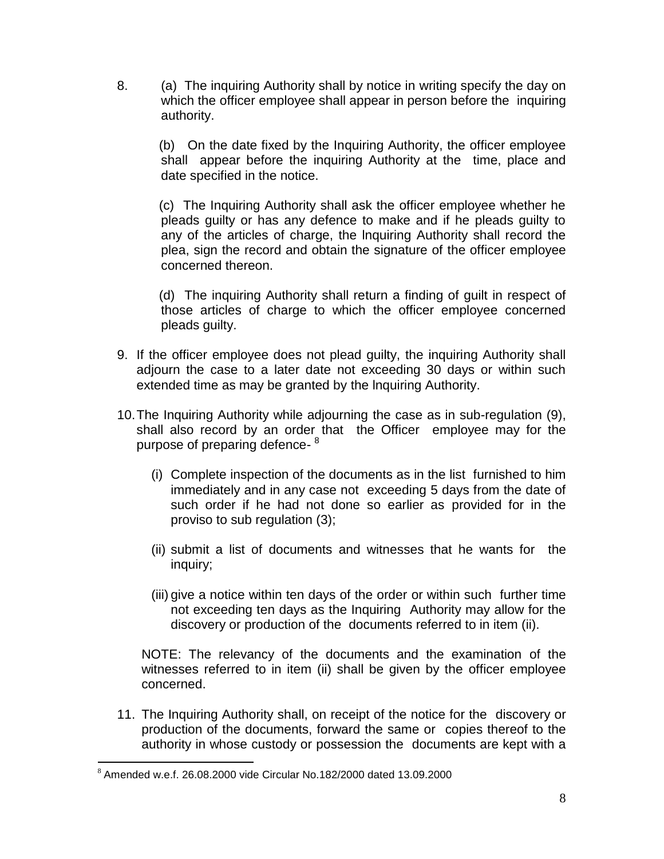8. (a) The inquiring Authority shall by notice in writing specify the day on which the officer employee shall appear in person before the inquiring authority.

(b) On the date fixed by the Inquiring Authority, the officer employee shall appear before the inquiring Authority at the time, place and date specified in the notice.

(c) The Inquiring Authority shall ask the officer employee whether he pleads guilty or has any defence to make and if he pleads guilty to any of the articles of charge, the lnquiring Authority shall record the plea, sign the record and obtain the signature of the officer employee concerned thereon.

(d) The inquiring Authority shall return a finding of guilt in respect of those articles of charge to which the officer employee concerned pleads guilty.

- 9. If the officer employee does not plead guilty, the inquiring Authority shall adjourn the case to a later date not exceeding 30 days or within such extended time as may be granted by the lnquiring Authority.
- 10.The Inquiring Authority while adjourning the case as in sub-regulation (9), shall also record by an order that the Officer employee may for the purpose of preparing defence-<sup>8</sup>
	- (i) Complete inspection of the documents as in the list furnished to him immediately and in any case not exceeding 5 days from the date of such order if he had not done so earlier as provided for in the proviso to sub regulation (3);
	- (ii) submit a list of documents and witnesses that he wants for the inquiry;
	- (iii) give a notice within ten days of the order or within such further time not exceeding ten days as the Inquiring Authority may allow for the discovery or production of the documents referred to in item (ii).

NOTE: The relevancy of the documents and the examination of the witnesses referred to in item (ii) shall be given by the officer employee concerned.

11. The Inquiring Authority shall, on receipt of the notice for the discovery or production of the documents, forward the same or copies thereof to the authority in whose custody or possession the documents are kept with a

 $8$  Amended w.e.f. 26.08.2000 vide Circular No.182/2000 dated 13.09.2000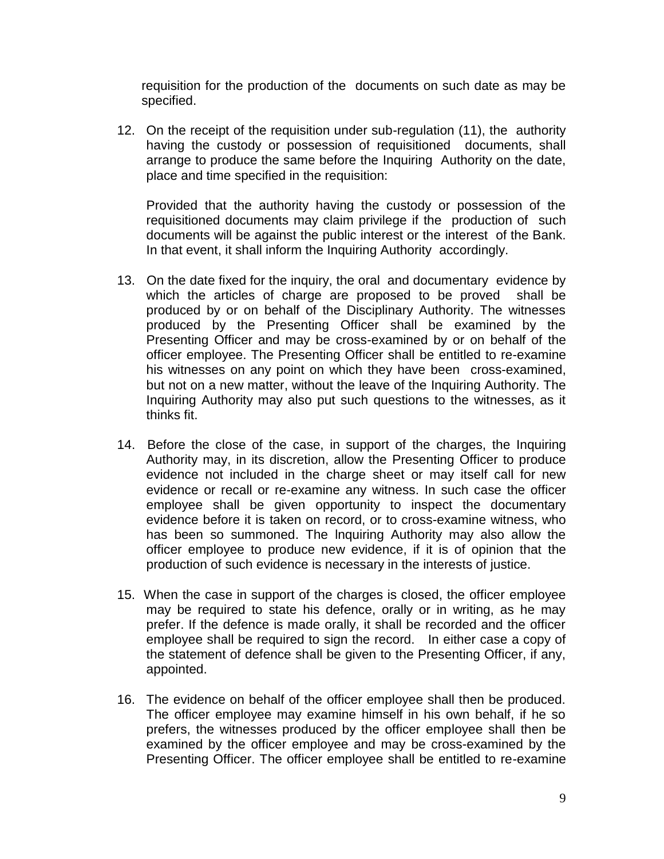requisition for the production of the documents on such date as may be specified.

12. On the receipt of the requisition under sub-regulation (11), the authority having the custody or possession of requisitioned documents, shall arrange to produce the same before the Inquiring Authority on the date, place and time specified in the requisition:

Provided that the authority having the custody or possession of the requisitioned documents may claim privilege if the production of such documents will be against the public interest or the interest of the Bank. In that event, it shall inform the Inquiring Authority accordingly.

- 13. On the date fixed for the inquiry, the oral and documentary evidence by which the articles of charge are proposed to be proved shall be produced by or on behalf of the Disciplinary Authority. The witnesses produced by the Presenting Officer shall be examined by the Presenting Officer and may be cross-examined by or on behalf of the officer employee. The Presenting Officer shall be entitled to re-examine his witnesses on any point on which they have been cross-examined, but not on a new matter, without the leave of the Inquiring Authority. The Inquiring Authority may also put such questions to the witnesses, as it thinks fit.
- 14. Before the close of the case, in support of the charges, the Inquiring Authority may, in its discretion, allow the Presenting Officer to produce evidence not included in the charge sheet or may itself call for new evidence or recall or re-examine any witness. In such case the officer employee shall be given opportunity to inspect the documentary evidence before it is taken on record, or to cross-examine witness, who has been so summoned. The lnquiring Authority may also allow the officer employee to produce new evidence, if it is of opinion that the production of such evidence is necessary in the interests of justice.
- 15. When the case in support of the charges is closed, the officer employee may be required to state his defence, orally or in writing, as he may prefer. If the defence is made orally, it shall be recorded and the officer employee shall be required to sign the record. In either case a copy of the statement of defence shall be given to the Presenting Officer, if any, appointed.
- 16. The evidence on behalf of the officer employee shall then be produced. The officer employee may examine himself in his own behalf, if he so prefers, the witnesses produced by the officer employee shall then be examined by the officer employee and may be cross-examined by the Presenting Officer. The officer employee shall be entitled to re-examine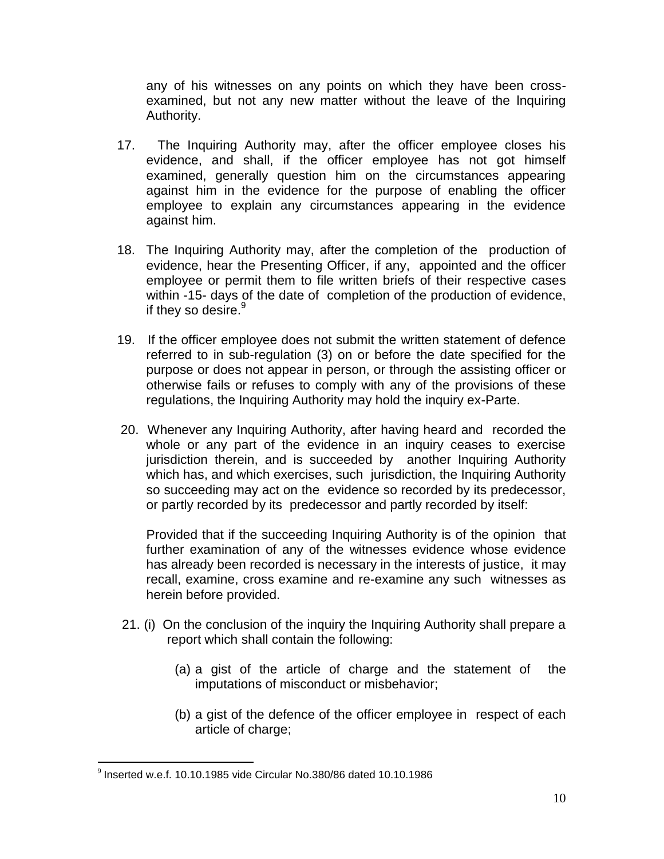any of his witnesses on any points on which they have been crossexamined, but not any new matter without the leave of the lnquiring Authority.

- 17. The Inquiring Authority may, after the officer employee closes his evidence, and shall, if the officer employee has not got himself examined, generally question him on the circumstances appearing against him in the evidence for the purpose of enabling the officer employee to explain any circumstances appearing in the evidence against him.
- 18. The Inquiring Authority may, after the completion of the production of evidence, hear the Presenting Officer, if any, appointed and the officer employee or permit them to file written briefs of their respective cases within -15- days of the date of completion of the production of evidence, if they so desire. $9$
- 19. If the officer employee does not submit the written statement of defence referred to in sub-regulation (3) on or before the date specified for the purpose or does not appear in person, or through the assisting officer or otherwise fails or refuses to comply with any of the provisions of these regulations, the Inquiring Authority may hold the inquiry ex-Parte.
- 20. Whenever any Inquiring Authority, after having heard and recorded the whole or any part of the evidence in an inquiry ceases to exercise jurisdiction therein, and is succeeded by another Inquiring Authority which has, and which exercises, such jurisdiction, the Inquiring Authority so succeeding may act on the evidence so recorded by its predecessor, or partly recorded by its predecessor and partly recorded by itself:

Provided that if the succeeding Inquiring Authority is of the opinion that further examination of any of the witnesses evidence whose evidence has already been recorded is necessary in the interests of justice, it may recall, examine, cross examine and re-examine any such witnesses as herein before provided.

- 21. (i) On the conclusion of the inquiry the Inquiring Authority shall prepare a report which shall contain the following:
	- (a) a gist of the article of charge and the statement of the imputations of misconduct or misbehavior;
	- (b) a gist of the defence of the officer employee in respect of each article of charge;

 $9$  Inserted w.e.f. 10.10.1985 vide Circular No.380/86 dated 10.10.1986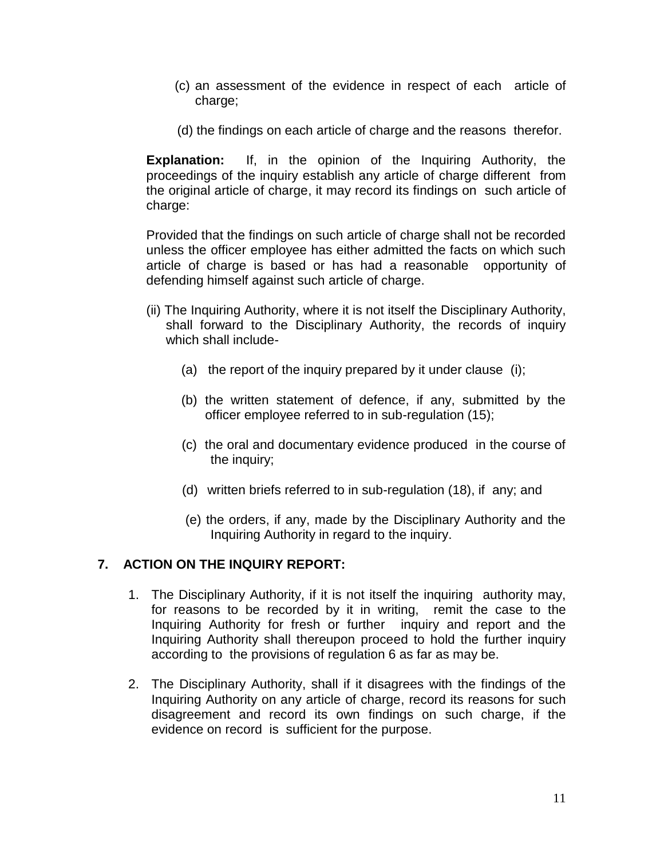- (c) an assessment of the evidence in respect of each article of charge;
- (d) the findings on each article of charge and the reasons therefor.

**Explanation:** If, in the opinion of the Inquiring Authority, the proceedings of the inquiry establish any article of charge different from the original article of charge, it may record its findings on such article of charge:

Provided that the findings on such article of charge shall not be recorded unless the officer employee has either admitted the facts on which such article of charge is based or has had a reasonable opportunity of defending himself against such article of charge.

- (ii) The Inquiring Authority, where it is not itself the Disciplinary Authority, shall forward to the Disciplinary Authority, the records of inquiry which shall include-
	- (a) the report of the inquiry prepared by it under clause (i);
	- (b) the written statement of defence, if any, submitted by the officer employee referred to in sub-regulation (15);
	- (c) the oral and documentary evidence produced in the course of the inquiry;
	- (d) written briefs referred to in sub-regulation (18), if any; and
	- (e) the orders, if any, made by the Disciplinary Authority and the Inquiring Authority in regard to the inquiry.

## **7. ACTION ON THE INQUIRY REPORT:**

- 1. The Disciplinary Authority, if it is not itself the inquiring authority may, for reasons to be recorded by it in writing, remit the case to the Inquiring Authority for fresh or further inquiry and report and the Inquiring Authority shall thereupon proceed to hold the further inquiry according to the provisions of regulation 6 as far as may be.
- 2. The Disciplinary Authority, shall if it disagrees with the findings of the Inquiring Authority on any article of charge, record its reasons for such disagreement and record its own findings on such charge, if the evidence on record is sufficient for the purpose.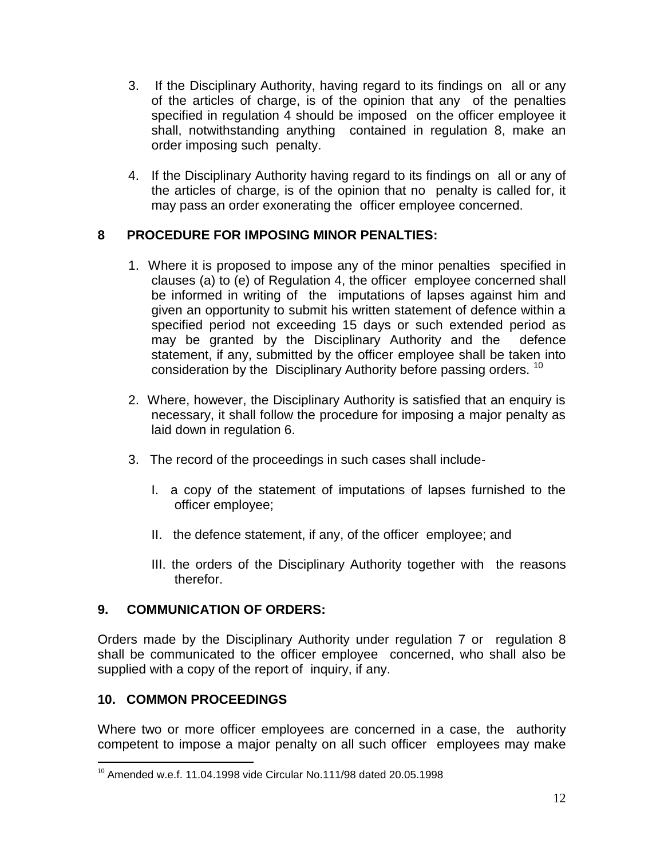- 3. If the Disciplinary Authority, having regard to its findings on all or any of the articles of charge, is of the opinion that any of the penalties specified in regulation 4 should be imposed on the officer employee it shall, notwithstanding anything contained in regulation 8, make an order imposing such penalty.
- 4. If the Disciplinary Authority having regard to its findings on all or any of the articles of charge, is of the opinion that no penalty is called for, it may pass an order exonerating the officer employee concerned.

## **8 PROCEDURE FOR IMPOSING MINOR PENALTIES:**

- 1. Where it is proposed to impose any of the minor penalties specified in clauses (a) to (e) of Regulation 4, the officer employee concerned shall be informed in writing of the imputations of lapses against him and given an opportunity to submit his written statement of defence within a specified period not exceeding 15 days or such extended period as may be granted by the Disciplinary Authority and the defence statement, if any, submitted by the officer employee shall be taken into consideration by the Disciplinary Authority before passing orders. <sup>10</sup>
- 2. Where, however, the Disciplinary Authority is satisfied that an enquiry is necessary, it shall follow the procedure for imposing a major penalty as laid down in regulation 6.
- 3. The record of the proceedings in such cases shall include-
	- I. a copy of the statement of imputations of lapses furnished to the officer employee;
	- II. the defence statement, if any, of the officer employee; and
	- III. the orders of the Disciplinary Authority together with the reasons therefor.

#### **9. COMMUNICATION OF ORDERS:**

Orders made by the Disciplinary Authority under regulation 7 or regulation 8 shall be communicated to the officer employee concerned, who shall also be supplied with a copy of the report of inquiry, if any.

#### **10. COMMON PROCEEDINGS**

 $\overline{a}$ 

Where two or more officer employees are concerned in a case, the authority competent to impose a major penalty on all such officer employees may make

 $10$  Amended w.e.f. 11.04.1998 vide Circular No.111/98 dated 20.05.1998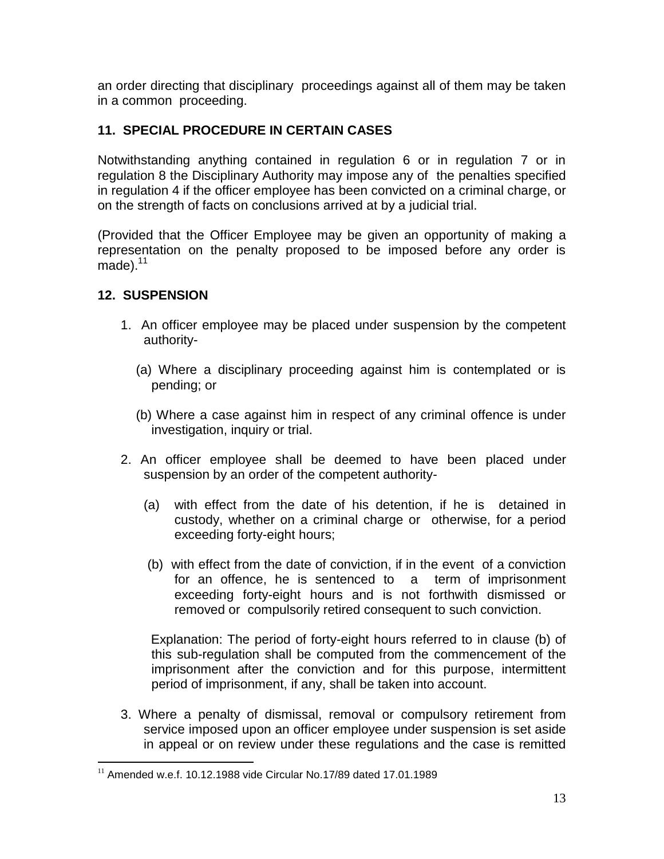an order directing that disciplinary proceedings against all of them may be taken in a common proceeding.

## **11. SPECIAL PROCEDURE IN CERTAIN CASES**

Notwithstanding anything contained in regulation 6 or in regulation 7 or in regulation 8 the Disciplinary Authority may impose any of the penalties specified in regulation 4 if the officer employee has been convicted on a criminal charge, or on the strength of facts on conclusions arrived at by a judicial trial.

(Provided that the Officer Employee may be given an opportunity of making a representation on the penalty proposed to be imposed before any order is made). $11$ 

#### **12. SUSPENSION**

 $\overline{a}$ 

- 1. An officer employee may be placed under suspension by the competent authority-
	- (a) Where a disciplinary proceeding against him is contemplated or is pending; or
	- (b) Where a case against him in respect of any criminal offence is under investigation, inquiry or trial.
- 2. An officer employee shall be deemed to have been placed under suspension by an order of the competent authority-
	- (a) with effect from the date of his detention, if he is detained in custody, whether on a criminal charge or otherwise, for a period exceeding forty-eight hours;
	- (b) with effect from the date of conviction, if in the event of a conviction for an offence, he is sentenced to a term of imprisonment exceeding forty-eight hours and is not forthwith dismissed or removed or compulsorily retired consequent to such conviction.

 Explanation: The period of forty-eight hours referred to in clause (b) of this sub-regulation shall be computed from the commencement of the imprisonment after the conviction and for this purpose, intermittent period of imprisonment, if any, shall be taken into account.

3. Where a penalty of dismissal, removal or compulsory retirement from service imposed upon an officer employee under suspension is set aside in appeal or on review under these regulations and the case is remitted

 $11$  Amended w.e.f. 10.12.1988 vide Circular No.17/89 dated 17.01.1989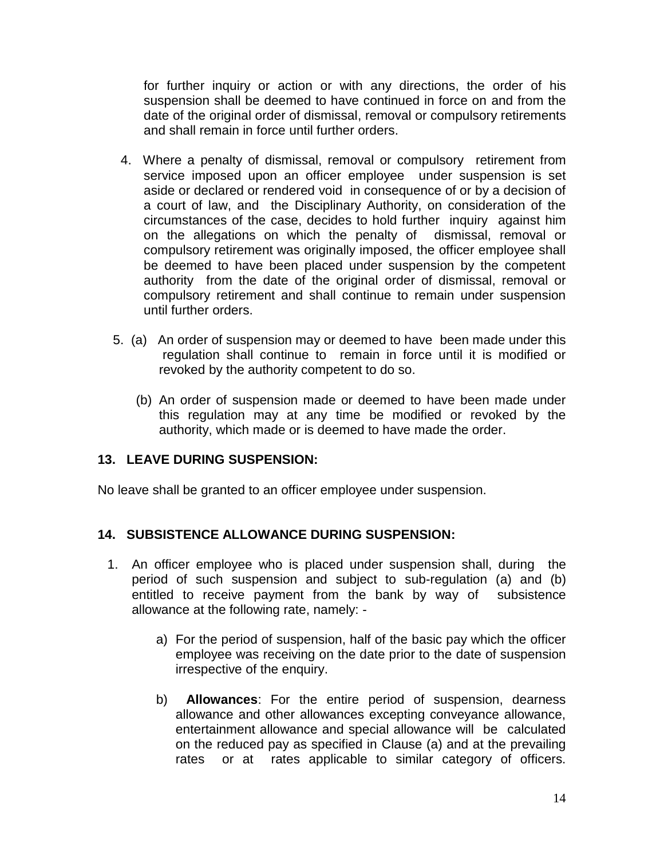for further inquiry or action or with any directions, the order of his suspension shall be deemed to have continued in force on and from the date of the original order of dismissal, removal or compulsory retirements and shall remain in force until further orders.

- 4. Where a penalty of dismissal, removal or compulsory retirement from service imposed upon an officer employee under suspension is set aside or declared or rendered void in consequence of or by a decision of a court of law, and the Disciplinary Authority, on consideration of the circumstances of the case, decides to hold further inquiry against him on the allegations on which the penalty of dismissal, removal or compulsory retirement was originally imposed, the officer employee shall be deemed to have been placed under suspension by the competent authority from the date of the original order of dismissal, removal or compulsory retirement and shall continue to remain under suspension until further orders.
- 5. (a) An order of suspension may or deemed to have been made under this regulation shall continue to remain in force until it is modified or revoked by the authority competent to do so.
	- (b) An order of suspension made or deemed to have been made under this regulation may at any time be modified or revoked by the authority, which made or is deemed to have made the order.

## **13. LEAVE DURING SUSPENSION:**

No leave shall be granted to an officer employee under suspension.

#### **14. SUBSISTENCE ALLOWANCE DURING SUSPENSION:**

- 1. An officer employee who is placed under suspension shall, during the period of such suspension and subject to sub-regulation (a) and (b) entitled to receive payment from the bank by way of subsistence allowance at the following rate, namely:
	- a) For the period of suspension, half of the basic pay which the officer employee was receiving on the date prior to the date of suspension irrespective of the enquiry.
	- b) **Allowances**: For the entire period of suspension, dearness allowance and other allowances excepting conveyance allowance, entertainment allowance and special allowance will be calculated on the reduced pay as specified in Clause (a) and at the prevailing rates or at rates applicable to similar category of officers.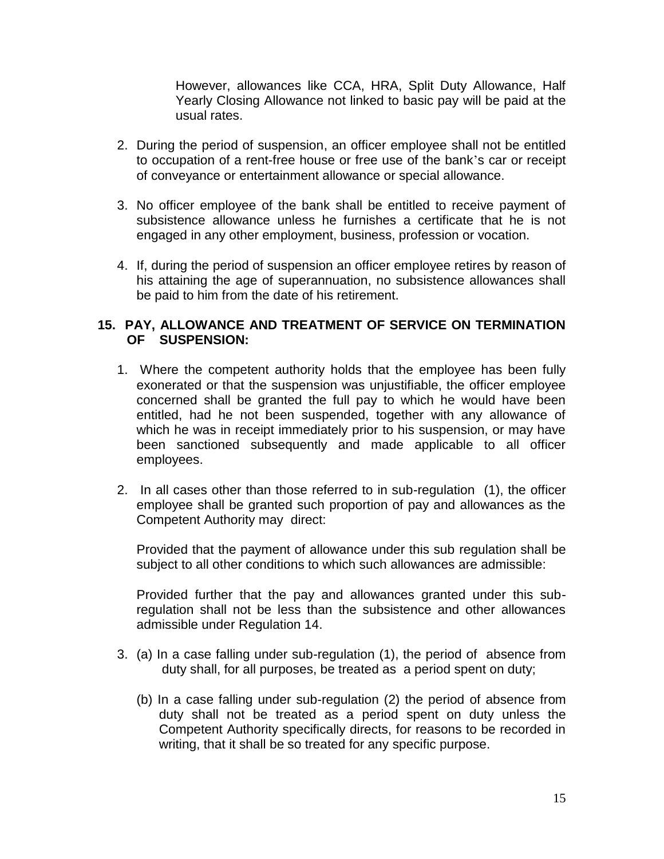However, allowances like CCA, HRA, Split Duty Allowance, Half Yearly Closing Allowance not linked to basic pay will be paid at the usual rates.

- 2. During the period of suspension, an officer employee shall not be entitled to occupation of a rent-free house or free use of the bank's car or receipt of conveyance or entertainment allowance or special allowance.
- 3. No officer employee of the bank shall be entitled to receive payment of subsistence allowance unless he furnishes a certificate that he is not engaged in any other employment, business, profession or vocation.
- 4. If, during the period of suspension an officer employee retires by reason of his attaining the age of superannuation, no subsistence allowances shall be paid to him from the date of his retirement.

### **15. PAY, ALLOWANCE AND TREATMENT OF SERVICE ON TERMINATION OF SUSPENSION:**

- 1. Where the competent authority holds that the employee has been fully exonerated or that the suspension was unjustifiable, the officer employee concerned shall be granted the full pay to which he would have been entitled, had he not been suspended, together with any allowance of which he was in receipt immediately prior to his suspension, or may have been sanctioned subsequently and made applicable to all officer employees.
- 2. In all cases other than those referred to in sub-regulation (1), the officer employee shall be granted such proportion of pay and allowances as the Competent Authority may direct:

Provided that the payment of allowance under this sub regulation shall be subject to all other conditions to which such allowances are admissible:

Provided further that the pay and allowances granted under this subregulation shall not be less than the subsistence and other allowances admissible under Regulation 14.

- 3. (a) In a case falling under sub-regulation (1), the period of absence from duty shall, for all purposes, be treated as a period spent on duty;
	- (b) In a case falling under sub-regulation (2) the period of absence from duty shall not be treated as a period spent on duty unless the Competent Authority specifically directs, for reasons to be recorded in writing, that it shall be so treated for any specific purpose.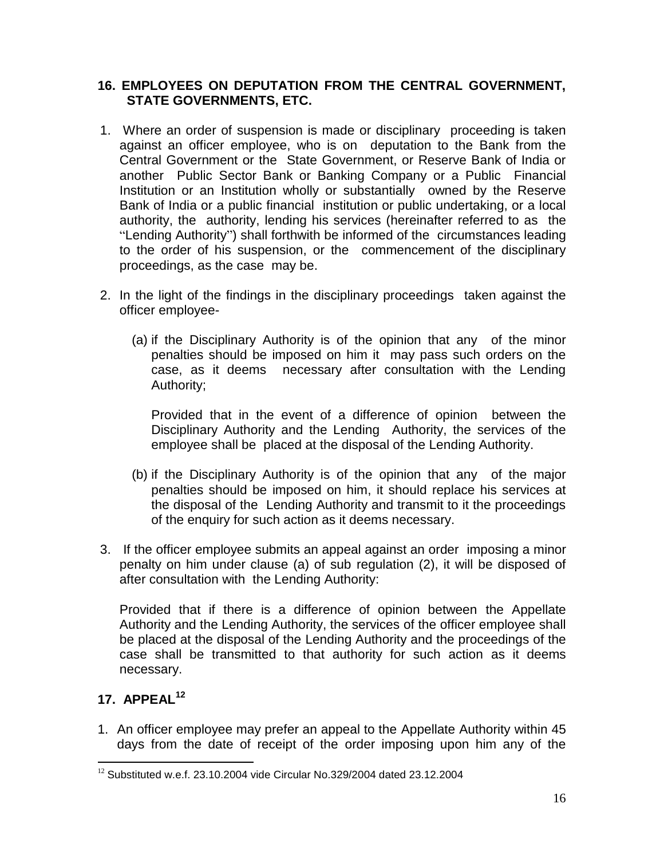### **16. EMPLOYEES ON DEPUTATION FROM THE CENTRAL GOVERNMENT, STATE GOVERNMENTS, ETC.**

- 1. Where an order of suspension is made or disciplinary proceeding is taken against an officer employee, who is on deputation to the Bank from the Central Government or the State Government, or Reserve Bank of India or another Public Sector Bank or Banking Company or a Public Financial Institution or an Institution wholly or substantially owned by the Reserve Bank of India or a public financial institution or public undertaking, or a local authority, the authority, lending his services (hereinafter referred to as the "Lending Authority") shall forthwith be informed of the circumstances leading to the order of his suspension, or the commencement of the disciplinary proceedings, as the case may be.
- 2. In the light of the findings in the disciplinary proceedings taken against the officer employee-
	- (a) if the Disciplinary Authority is of the opinion that any of the minor penalties should be imposed on him it may pass such orders on the case, as it deems necessary after consultation with the Lending Authority;

Provided that in the event of a difference of opinion between the Disciplinary Authority and the Lending Authority, the services of the employee shall be placed at the disposal of the Lending Authority.

- (b) if the Disciplinary Authority is of the opinion that any of the major penalties should be imposed on him, it should replace his services at the disposal of the Lending Authority and transmit to it the proceedings of the enquiry for such action as it deems necessary.
- 3. If the officer employee submits an appeal against an order imposing a minor penalty on him under clause (a) of sub regulation (2), it will be disposed of after consultation with the Lending Authority:

Provided that if there is a difference of opinion between the Appellate Authority and the Lending Authority, the services of the officer employee shall be placed at the disposal of the Lending Authority and the proceedings of the case shall be transmitted to that authority for such action as it deems necessary.

# **17. APPEAL<sup>12</sup>**

 $\overline{a}$ 

1. An officer employee may prefer an appeal to the Appellate Authority within 45 days from the date of receipt of the order imposing upon him any of the

 $12$  Substituted w.e.f. 23.10.2004 vide Circular No.329/2004 dated 23.12.2004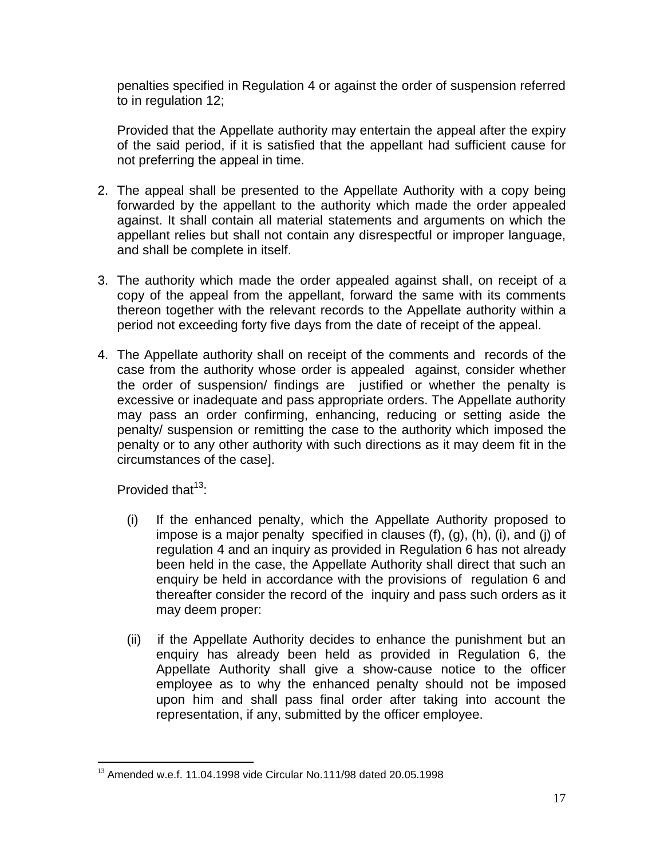penalties specified in Regulation 4 or against the order of suspension referred to in regulation 12;

Provided that the Appellate authority may entertain the appeal after the expiry of the said period, if it is satisfied that the appellant had sufficient cause for not preferring the appeal in time.

- 2. The appeal shall be presented to the Appellate Authority with a copy being forwarded by the appellant to the authority which made the order appealed against. It shall contain all material statements and arguments on which the appellant relies but shall not contain any disrespectful or improper language, and shall be complete in itself.
- 3. The authority which made the order appealed against shall, on receipt of a copy of the appeal from the appellant, forward the same with its comments thereon together with the relevant records to the Appellate authority within a period not exceeding forty five days from the date of receipt of the appeal.
- 4. The Appellate authority shall on receipt of the comments and records of the case from the authority whose order is appealed against, consider whether the order of suspension/ findings are justified or whether the penalty is excessive or inadequate and pass appropriate orders. The Appellate authority may pass an order confirming, enhancing, reducing or setting aside the penalty/ suspension or remitting the case to the authority which imposed the penalty or to any other authority with such directions as it may deem fit in the circumstances of the case].

Provided that  $13$ :

- (i) If the enhanced penalty, which the Appellate Authority proposed to impose is a major penalty specified in clauses (f), (g), (h), (i), and (j) of regulation 4 and an inquiry as provided in Regulation 6 has not already been held in the case, the Appellate Authority shall direct that such an enquiry be held in accordance with the provisions of regulation 6 and thereafter consider the record of the inquiry and pass such orders as it may deem proper:
- (ii) if the Appellate Authority decides to enhance the punishment but an enquiry has already been held as provided in Regulation 6, the Appellate Authority shall give a show-cause notice to the officer employee as to why the enhanced penalty should not be imposed upon him and shall pass final order after taking into account the representation, if any, submitted by the officer employee.

 $\overline{a}$ <sup>13</sup> Amended w.e.f. 11.04.1998 vide Circular No.111/98 dated 20.05.1998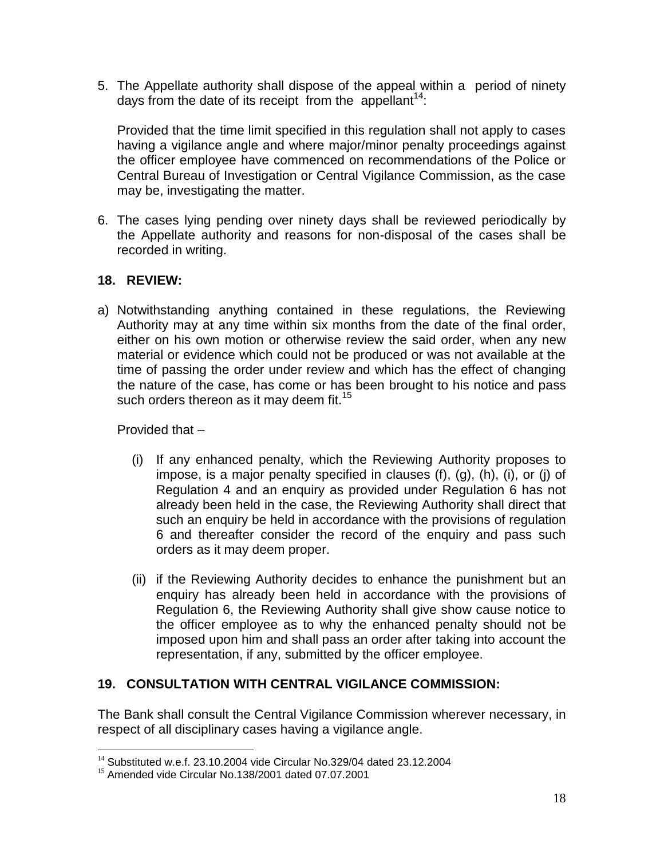5. The Appellate authority shall dispose of the appeal within a period of ninety days from the date of its receipt from the appellant<sup>14</sup>:

Provided that the time limit specified in this regulation shall not apply to cases having a vigilance angle and where major/minor penalty proceedings against the officer employee have commenced on recommendations of the Police or Central Bureau of Investigation or Central Vigilance Commission, as the case may be, investigating the matter.

6. The cases lying pending over ninety days shall be reviewed periodically by the Appellate authority and reasons for non-disposal of the cases shall be recorded in writing.

# **18. REVIEW:**

a) Notwithstanding anything contained in these regulations, the Reviewing Authority may at any time within six months from the date of the final order, either on his own motion or otherwise review the said order, when any new material or evidence which could not be produced or was not available at the time of passing the order under review and which has the effect of changing the nature of the case, has come or has been brought to his notice and pass such orders thereon as it may deem fit.<sup>15</sup>

Provided that –

 $\overline{a}$ 

- (i) If any enhanced penalty, which the Reviewing Authority proposes to impose, is a major penalty specified in clauses (f), (g), (h), (i), or (j) of Regulation 4 and an enquiry as provided under Regulation 6 has not already been held in the case, the Reviewing Authority shall direct that such an enquiry be held in accordance with the provisions of regulation 6 and thereafter consider the record of the enquiry and pass such orders as it may deem proper.
- (ii) if the Reviewing Authority decides to enhance the punishment but an enquiry has already been held in accordance with the provisions of Regulation 6, the Reviewing Authority shall give show cause notice to the officer employee as to why the enhanced penalty should not be imposed upon him and shall pass an order after taking into account the representation, if any, submitted by the officer employee.

# **19. CONSULTATION WITH CENTRAL VIGILANCE COMMISSION:**

The Bank shall consult the Central Vigilance Commission wherever necessary, in respect of all disciplinary cases having a vigilance angle.

<sup>&</sup>lt;sup>14</sup> Substituted w.e.f. 23.10.2004 vide Circular No.329/04 dated 23.12.2004

<sup>15</sup> Amended vide Circular No.138/2001 dated 07.07.2001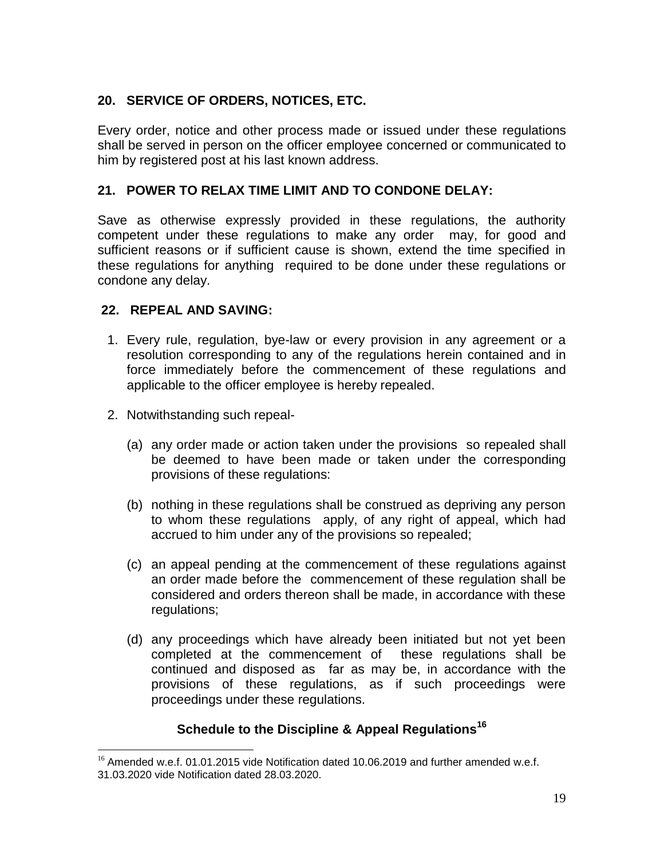# **20. SERVICE OF ORDERS, NOTICES, ETC.**

Every order, notice and other process made or issued under these regulations shall be served in person on the officer employee concerned or communicated to him by registered post at his last known address.

### **21. POWER TO RELAX TIME LIMIT AND TO CONDONE DELAY:**

Save as otherwise expressly provided in these regulations, the authority competent under these regulations to make any order may, for good and sufficient reasons or if sufficient cause is shown, extend the time specified in these regulations for anything required to be done under these regulations or condone any delay.

#### **22. REPEAL AND SAVING:**

- 1. Every rule, regulation, bye-law or every provision in any agreement or a resolution corresponding to any of the regulations herein contained and in force immediately before the commencement of these regulations and applicable to the officer employee is hereby repealed.
- 2. Notwithstanding such repeal-

 $\overline{a}$ 

- (a) any order made or action taken under the provisions so repealed shall be deemed to have been made or taken under the corresponding provisions of these regulations:
- (b) nothing in these regulations shall be construed as depriving any person to whom these regulations apply, of any right of appeal, which had accrued to him under any of the provisions so repealed;
- (c) an appeal pending at the commencement of these regulations against an order made before the commencement of these regulation shall be considered and orders thereon shall be made, in accordance with these regulations:
- (d) any proceedings which have already been initiated but not yet been completed at the commencement of these regulations shall be continued and disposed as far as may be, in accordance with the provisions of these regulations, as if such proceedings were proceedings under these regulations.

## **Schedule to the Discipline & Appeal Regulations<sup>16</sup>**

 $16$  Amended w.e.f. 01.01.2015 vide Notification dated 10.06.2019 and further amended w.e.f. 31.03.2020 vide Notification dated 28.03.2020.